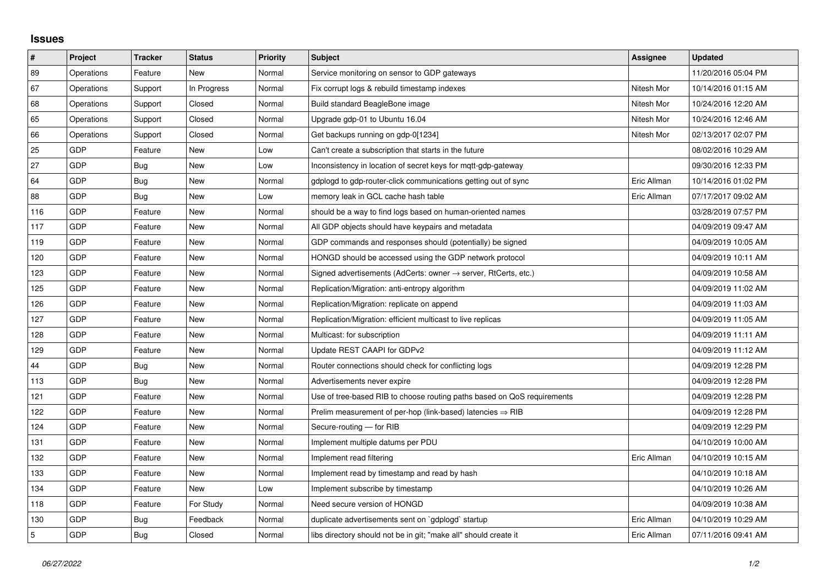## **Issues**

| $\vert$ #      | Project    | <b>Tracker</b> | <b>Status</b> | <b>Priority</b> | <b>Subject</b>                                                             | Assignee    | <b>Updated</b>      |
|----------------|------------|----------------|---------------|-----------------|----------------------------------------------------------------------------|-------------|---------------------|
| 89             | Operations | Feature        | <b>New</b>    | Normal          | Service monitoring on sensor to GDP gateways                               |             | 11/20/2016 05:04 PM |
| 67             | Operations | Support        | In Progress   | Normal          | Fix corrupt logs & rebuild timestamp indexes                               | Nitesh Mor  | 10/14/2016 01:15 AM |
| 68             | Operations | Support        | Closed        | Normal          | Build standard BeagleBone image                                            | Nitesh Mor  | 10/24/2016 12:20 AM |
| 65             | Operations | Support        | Closed        | Normal          | Upgrade gdp-01 to Ubuntu 16.04                                             | Nitesh Mor  | 10/24/2016 12:46 AM |
| 66             | Operations | Support        | Closed        | Normal          | Get backups running on gdp-0[1234]                                         | Nitesh Mor  | 02/13/2017 02:07 PM |
| 25             | GDP        | Feature        | New           | Low             | Can't create a subscription that starts in the future                      |             | 08/02/2016 10:29 AM |
| 27             | GDP        | Bug            | <b>New</b>    | Low             | Inconsistency in location of secret keys for mgtt-gdp-gateway              |             | 09/30/2016 12:33 PM |
| 64             | GDP        | Bug            | New           | Normal          | gdplogd to gdp-router-click communications getting out of sync             | Eric Allman | 10/14/2016 01:02 PM |
| 88             | GDP        | Bug            | New           | Low             | memory leak in GCL cache hash table                                        | Eric Allman | 07/17/2017 09:02 AM |
| 116            | GDP        | Feature        | New           | Normal          | should be a way to find logs based on human-oriented names                 |             | 03/28/2019 07:57 PM |
| 117            | GDP        | Feature        | New           | Normal          | All GDP objects should have keypairs and metadata                          |             | 04/09/2019 09:47 AM |
| 119            | GDP        | Feature        | New           | Normal          | GDP commands and responses should (potentially) be signed                  |             | 04/09/2019 10:05 AM |
| 120            | GDP        | Feature        | New           | Normal          | HONGD should be accessed using the GDP network protocol                    |             | 04/09/2019 10:11 AM |
| 123            | GDP        | Feature        | New           | Normal          | Signed advertisements (AdCerts: owner $\rightarrow$ server, RtCerts, etc.) |             | 04/09/2019 10:58 AM |
| 125            | GDP        | Feature        | New           | Normal          | Replication/Migration: anti-entropy algorithm                              |             | 04/09/2019 11:02 AM |
| 126            | GDP        | Feature        | <b>New</b>    | Normal          | Replication/Migration: replicate on append                                 |             | 04/09/2019 11:03 AM |
| 127            | GDP        | Feature        | New           | Normal          | Replication/Migration: efficient multicast to live replicas                |             | 04/09/2019 11:05 AM |
| 128            | GDP        | Feature        | New           | Normal          | Multicast: for subscription                                                |             | 04/09/2019 11:11 AM |
| 129            | GDP        | Feature        | New           | Normal          | Update REST CAAPI for GDPv2                                                |             | 04/09/2019 11:12 AM |
| 44             | GDP        | Bug            | New           | Normal          | Router connections should check for conflicting logs                       |             | 04/09/2019 12:28 PM |
| 113            | GDP        | Bug            | New           | Normal          | Advertisements never expire                                                |             | 04/09/2019 12:28 PM |
| 121            | GDP        | Feature        | <b>New</b>    | Normal          | Use of tree-based RIB to choose routing paths based on QoS requirements    |             | 04/09/2019 12:28 PM |
| 122            | GDP        | Feature        | New           | Normal          | Prelim measurement of per-hop (link-based) latencies $\Rightarrow$ RIB     |             | 04/09/2019 12:28 PM |
| 124            | GDP        | Feature        | New           | Normal          | Secure-routing - for RIB                                                   |             | 04/09/2019 12:29 PM |
| 131            | GDP        | Feature        | New           | Normal          | Implement multiple datums per PDU                                          |             | 04/10/2019 10:00 AM |
| 132            | GDP        | Feature        | New           | Normal          | Implement read filtering                                                   | Eric Allman | 04/10/2019 10:15 AM |
| 133            | GDP        | Feature        | New           | Normal          | Implement read by timestamp and read by hash                               |             | 04/10/2019 10:18 AM |
| 134            | GDP        | Feature        | New           | Low             | Implement subscribe by timestamp                                           |             | 04/10/2019 10:26 AM |
| 118            | GDP        | Feature        | For Study     | Normal          | Need secure version of HONGD                                               |             | 04/09/2019 10:38 AM |
| 130            | GDP        | Bug            | Feedback      | Normal          | duplicate advertisements sent on `gdplogd` startup                         | Eric Allman | 04/10/2019 10:29 AM |
| $\overline{5}$ | GDP        | Bug            | Closed        | Normal          | libs directory should not be in git; "make all" should create it           | Eric Allman | 07/11/2016 09:41 AM |